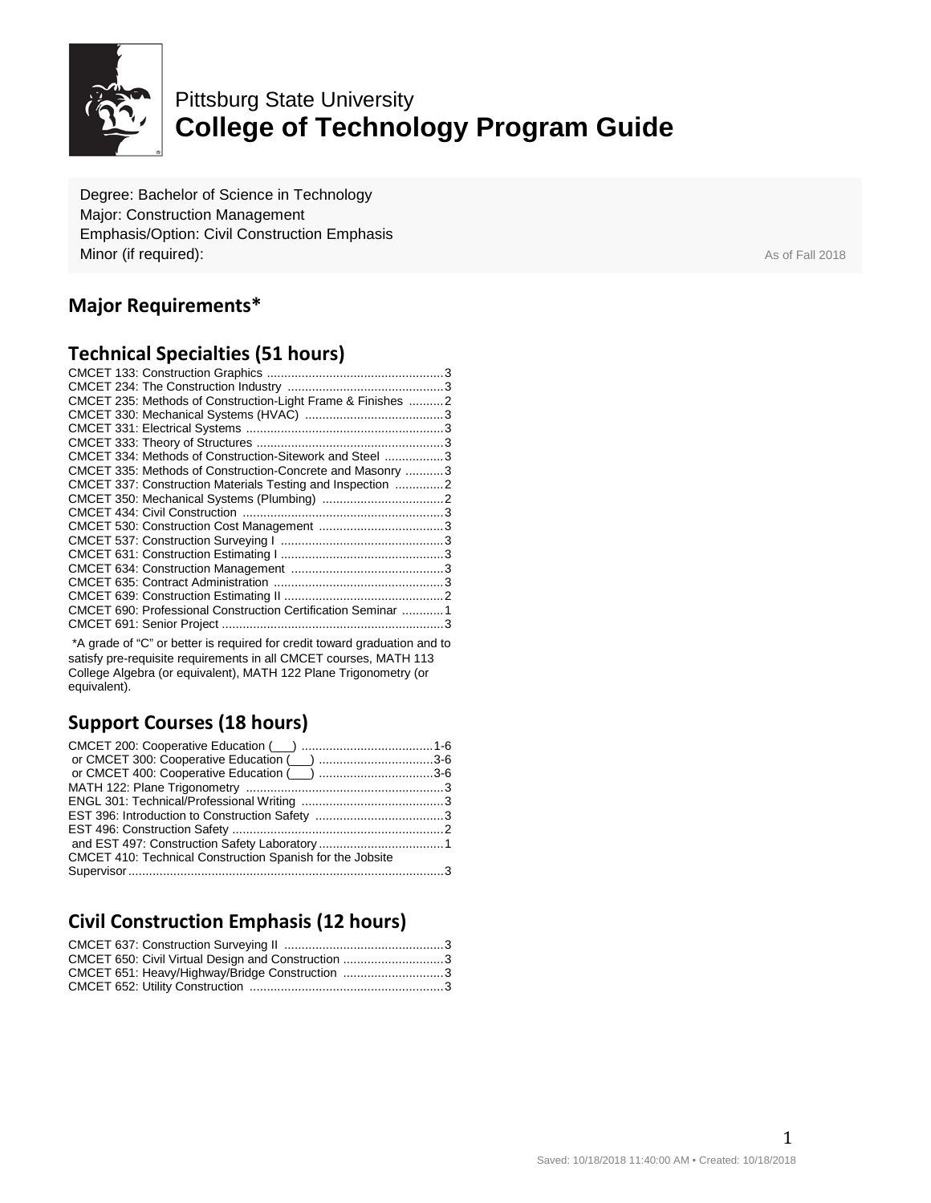

# Pittsburg State University **College of Technology Program Guide**

Degree: Bachelor of Science in Technology Major: Construction Management Emphasis/Option: Civil Construction Emphasis **Minor (if required):** As of Fall 2018

### **Major Requirements\***

#### **Technical Specialties (51 hours)**

| CMCET 235: Methods of Construction-Light Frame & Finishes 2  |  |
|--------------------------------------------------------------|--|
|                                                              |  |
|                                                              |  |
|                                                              |  |
| CMCET 334: Methods of Construction-Sitework and Steel  3     |  |
| CMCET 335: Methods of Construction-Concrete and Masonry  3   |  |
| CMCET 337: Construction Materials Testing and Inspection 2   |  |
|                                                              |  |
|                                                              |  |
|                                                              |  |
|                                                              |  |
|                                                              |  |
|                                                              |  |
|                                                              |  |
|                                                              |  |
| CMCET 690: Professional Construction Certification Seminar 1 |  |
|                                                              |  |
|                                                              |  |

\*A grade of "C" or better is required for credit toward graduation and to satisfy pre-requisite requirements in all CMCET courses, MATH 113 College Algebra (or equivalent), MATH 122 Plane Trigonometry (or equivalent).

# **Support Courses (18 hours)**

| or CMCET 400: Cooperative Education (inc. numeron material 3-6 |  |
|----------------------------------------------------------------|--|
|                                                                |  |
|                                                                |  |
|                                                                |  |
|                                                                |  |
|                                                                |  |
| CMCET 410: Technical Construction Spanish for the Jobsite      |  |
|                                                                |  |

# **Civil Construction Emphasis (12 hours)**

| CMCET 650: Civil Virtual Design and Construction 3 |  |
|----------------------------------------------------|--|
| CMCET 651: Heavy/Highway/Bridge Construction 3     |  |
|                                                    |  |